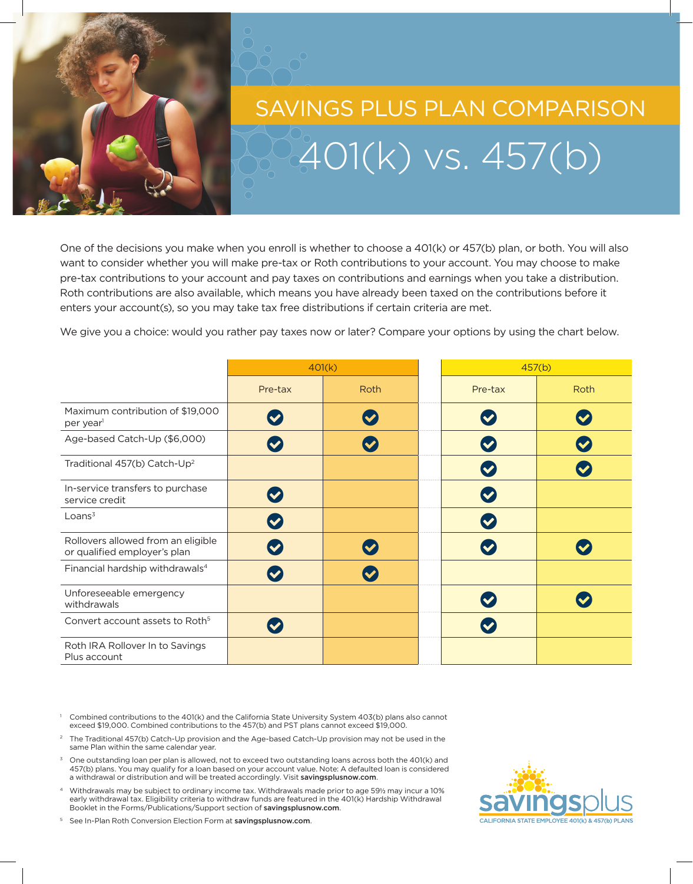

## $401(k)$  vs.  $457(b)$ SAVINGS PLUS PLAN COMPARISON

One of the decisions you make when you enroll is whether to choose a 401(k) or 457(b) plan, or both. You will also want to consider whether you will make pre-tax or Roth contributions to your account. You may choose to make pre-tax contributions to your account and pay taxes on contributions and earnings when you take a distribution. Roth contributions are also available, which means you have already been taxed on the contributions before it enters your account(s), so you may take tax free distributions if certain criteria are met.

We give you a choice: would you rather pay taxes now or later? Compare your options by using the chart below.

|                                                                    | 401(k)                    |      |                           | 457(b) |  |
|--------------------------------------------------------------------|---------------------------|------|---------------------------|--------|--|
|                                                                    | Pre-tax                   | Roth | Pre-tax                   | Roth   |  |
| Maximum contribution of \$19,000<br>per year <sup>1</sup>          | $\blacktriangledown$      |      | $\blacktriangledown$      |        |  |
| Age-based Catch-Up (\$6,000)                                       | $\blacktriangledown$      |      | $\blacktriangledown$      |        |  |
| Traditional 457(b) Catch-Up <sup>2</sup>                           |                           |      | $\bullet$                 |        |  |
| In-service transfers to purchase<br>service credit                 | $\boldsymbol{\heartsuit}$ |      | $\boldsymbol{\nabla}$     |        |  |
| Loans <sup>3</sup>                                                 | $\boldsymbol{\heartsuit}$ |      | $\boldsymbol{\heartsuit}$ |        |  |
| Rollovers allowed from an eligible<br>or qualified employer's plan | $\blacktriangledown$      |      |                           |        |  |
| Financial hardship withdrawals <sup>4</sup>                        |                           |      |                           |        |  |
| Unforeseeable emergency<br>withdrawals                             |                           |      |                           |        |  |
| Convert account assets to Roth <sup>5</sup>                        |                           |      |                           |        |  |
| Roth IRA Rollover In to Savings<br>Plus account                    |                           |      |                           |        |  |

- <sup>1</sup> Combined contributions to the 401(k) and the California State University System 403(b) plans also cannot exceed \$19,000. Combined contributions to the 457(b) and PST plans cannot exceed \$19,000.
- The Traditional 457(b) Catch-Up provision and the Age-based Catch-Up provision may not be used in the same Plan within the same calendar year.
- One outstanding loan per plan is allowed, not to exceed two outstanding loans across both the 401(k) and 457(b) plans. You may qualify for a loan based on your account value. Note: A defaulted loan is considered a withdrawal or distribution and will be treated accordingly. Visit savingsplusnow.com.
- <sup>4</sup> Withdrawals may be subject to ordinary income tax. Withdrawals made prior to age 59½ may incur a 10% early withdrawal tax. Eligibility criteria to withdraw funds are featured in the 401(k) Hardship Withdrawal Booklet in the Forms/Publications/Support section of savingsplusnow.com.



<sup>5</sup> See In-Plan Roth Conversion Election Form at savingsplusnow.com.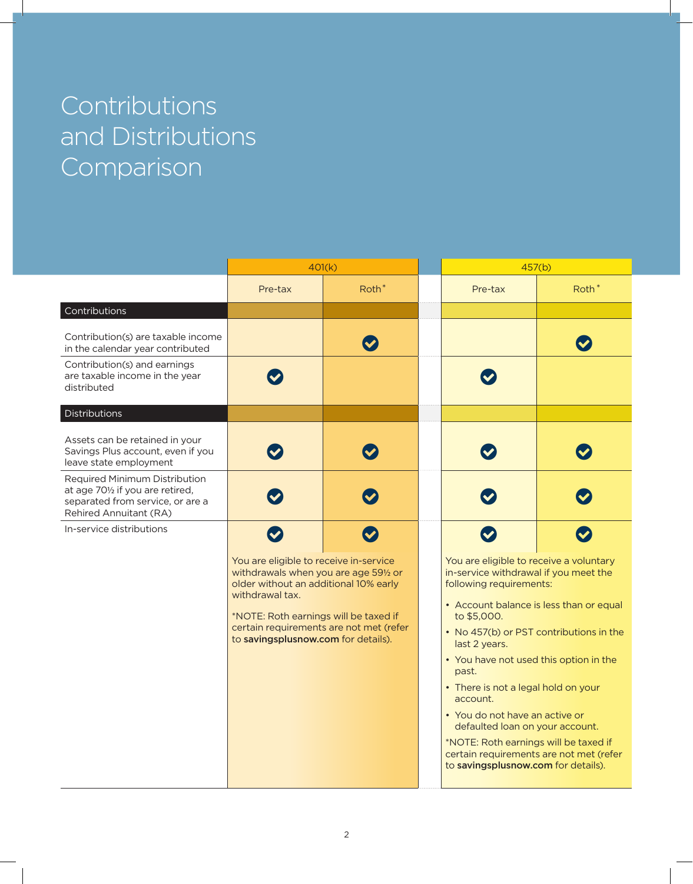## **Contributions** and Distributions Comparison

|                                                                                                                                 | 401(k)                                                                                                                                                                                                                                                                 |                   | 457(b)                                                                                                                                                                                                                                                                                                                                                                                                                                                                                                                                  |                   |
|---------------------------------------------------------------------------------------------------------------------------------|------------------------------------------------------------------------------------------------------------------------------------------------------------------------------------------------------------------------------------------------------------------------|-------------------|-----------------------------------------------------------------------------------------------------------------------------------------------------------------------------------------------------------------------------------------------------------------------------------------------------------------------------------------------------------------------------------------------------------------------------------------------------------------------------------------------------------------------------------------|-------------------|
|                                                                                                                                 | Pre-tax                                                                                                                                                                                                                                                                | Roth <sup>*</sup> | Pre-tax                                                                                                                                                                                                                                                                                                                                                                                                                                                                                                                                 | Roth <sup>*</sup> |
| Contributions                                                                                                                   |                                                                                                                                                                                                                                                                        |                   |                                                                                                                                                                                                                                                                                                                                                                                                                                                                                                                                         |                   |
| Contribution(s) are taxable income<br>in the calendar year contributed                                                          |                                                                                                                                                                                                                                                                        |                   |                                                                                                                                                                                                                                                                                                                                                                                                                                                                                                                                         |                   |
| Contribution(s) and earnings<br>are taxable income in the year<br>distributed                                                   |                                                                                                                                                                                                                                                                        |                   |                                                                                                                                                                                                                                                                                                                                                                                                                                                                                                                                         |                   |
| Distributions                                                                                                                   |                                                                                                                                                                                                                                                                        |                   |                                                                                                                                                                                                                                                                                                                                                                                                                                                                                                                                         |                   |
| Assets can be retained in your<br>Savings Plus account, even if you<br>leave state employment                                   |                                                                                                                                                                                                                                                                        |                   |                                                                                                                                                                                                                                                                                                                                                                                                                                                                                                                                         |                   |
| Required Minimum Distribution<br>at age 701/2 if you are retired,<br>separated from service, or are a<br>Rehired Annuitant (RA) |                                                                                                                                                                                                                                                                        |                   |                                                                                                                                                                                                                                                                                                                                                                                                                                                                                                                                         |                   |
| In-service distributions                                                                                                        |                                                                                                                                                                                                                                                                        |                   |                                                                                                                                                                                                                                                                                                                                                                                                                                                                                                                                         |                   |
|                                                                                                                                 | You are eligible to receive in-service<br>withdrawals when you are age 591/2 or<br>older without an additional 10% early<br>withdrawal tax.<br>*NOTE: Roth earnings will be taxed if<br>certain requirements are not met (refer<br>to savingsplusnow.com for details). |                   | You are eligible to receive a voluntary<br>in-service withdrawal if you meet the<br>following requirements:<br>• Account balance is less than or equal<br>to \$5,000.<br>• No 457(b) or PST contributions in the<br>last 2 years.<br>• You have not used this option in the<br>past.<br>• There is not a legal hold on your<br>account.<br>• You do not have an active or<br>defaulted loan on your account.<br>*NOTE: Roth earnings will be taxed if<br>certain requirements are not met (refer<br>to savingsplusnow.com for details). |                   |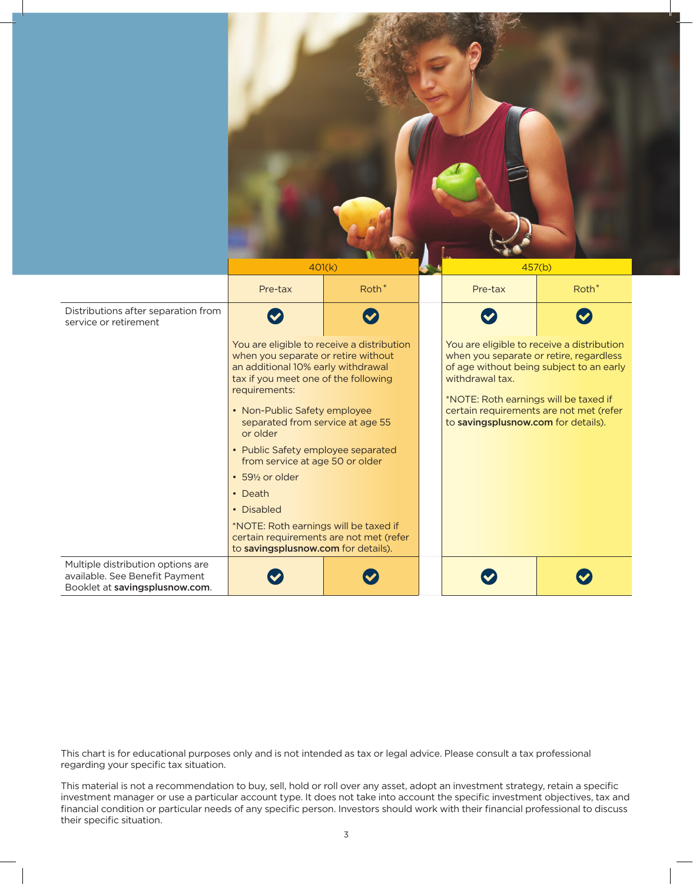|                                                                                                       |                                                                                                                                                                                                                                                                                                                                                               | 401(k)               |  | 457(b)                                                                                                                                                                                        |                   |
|-------------------------------------------------------------------------------------------------------|---------------------------------------------------------------------------------------------------------------------------------------------------------------------------------------------------------------------------------------------------------------------------------------------------------------------------------------------------------------|----------------------|--|-----------------------------------------------------------------------------------------------------------------------------------------------------------------------------------------------|-------------------|
|                                                                                                       | Pre-tax                                                                                                                                                                                                                                                                                                                                                       | Roth <sup>*</sup>    |  | Pre-tax                                                                                                                                                                                       | Roth <sup>*</sup> |
| Distributions after separation from<br>service or retirement                                          |                                                                                                                                                                                                                                                                                                                                                               | $\blacktriangledown$ |  |                                                                                                                                                                                               |                   |
|                                                                                                       | You are eligible to receive a distribution<br>when you separate or retire without<br>an additional 10% early withdrawal<br>tax if you meet one of the following<br>requirements:<br>• Non-Public Safety employee<br>separated from service at age 55<br>or older<br>• Public Safety employee separated<br>from service at age 50 or older<br>• 591/2 or older |                      |  | You are eligible to receive a distribution<br>when you separate or retire, regardless<br>of age without being subject to an early<br>withdrawal tax.<br>*NOTE: Roth earnings will be taxed if |                   |
|                                                                                                       |                                                                                                                                                                                                                                                                                                                                                               |                      |  | certain requirements are not met (refer<br>to savingsplusnow.com for details).                                                                                                                |                   |
|                                                                                                       |                                                                                                                                                                                                                                                                                                                                                               |                      |  |                                                                                                                                                                                               |                   |
|                                                                                                       |                                                                                                                                                                                                                                                                                                                                                               |                      |  |                                                                                                                                                                                               |                   |
|                                                                                                       | • Death                                                                                                                                                                                                                                                                                                                                                       |                      |  |                                                                                                                                                                                               |                   |
|                                                                                                       | • Disabled                                                                                                                                                                                                                                                                                                                                                    |                      |  |                                                                                                                                                                                               |                   |
|                                                                                                       | *NOTE: Roth earnings will be taxed if<br>certain requirements are not met (refer<br>to savingsplusnow.com for details).                                                                                                                                                                                                                                       |                      |  |                                                                                                                                                                                               |                   |
| Multiple distribution options are<br>available. See Benefit Payment<br>Booklet at savingsplusnow.com. |                                                                                                                                                                                                                                                                                                                                                               | $\blacktriangledown$ |  | $\boldsymbol{\nabla}$                                                                                                                                                                         |                   |

This chart is for educational purposes only and is not intended as tax or legal advice. Please consult a tax professional regarding your specific tax situation.

This material is not a recommendation to buy, sell, hold or roll over any asset, adopt an investment strategy, retain a specific investment manager or use a particular account type. It does not take into account the specific investment objectives, tax and financial condition or particular needs of any specific person. Investors should work with their financial professional to discuss their specific situation.